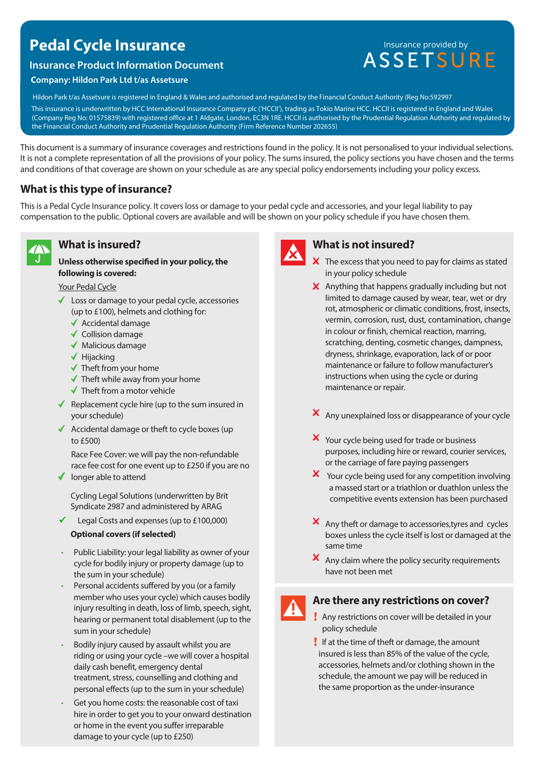# **Pedal Cycle Insurance**

#### **Insurance Product Information Document**

#### **Company: Hildon Park Ltd t/as Assetsure**

Insurance provided by<br>ASSETSURE

This insurance is underwritten by HCC International Insurance Company plc ('HCCII'), trading as Tokio Marine HCC. HCCII is registered in England and Wales Hildon Park t/as Assetsure is registered in England & Wales and authorised and regulated by the Financial Conduct Authority (Reg No:592997

(Company Reg No: 01575839) with registered office at 1 Aldgate, London, EC3N 1RE. HCCII is authorised by the Prudential Regulation Authority and regulated by the Financial Conduct Authority and Prudential Regulation Authority (Firm Reference Number 202655)

This document is a summary of insurance coverages and restrictions found in the policy. It is not personalised to your individual selections. It is not a complete representation of all the provisions of your policy. The sums insured, the policy sections you have chosen and the terms and conditions of that coverage are shown on your schedule as are any special policy endorsements including your policy excess.

# **What is this type of insurance?**

This is a Pedal Cycle Insurance policy. It covers loss or damage to your pedal cycle and accessories, and your legal liability to pay compensation to the public. Optional covers are available and will be shown on your policy schedule if you have chosen them.



## **What is insured?**

**Unless otherwise specified in your policy, the following is covered:**

Your Pedal Cycle

- Loss or damage to your pedal cycle, accessories (up to £100), helmets and clothing for:
	- $\blacklozenge$  Accidental damage
	- $\checkmark$  Collision damage
	- $\blacklozenge$  Malicious damage
	- $\blacktriangledown$  Hijacking
	- $\checkmark$  Theft from your home
	- $\checkmark$  Theft while away from your home
	- $\checkmark$  Theft from a motor vehicle
- Replacement cycle hire (up to the sum insured in your schedule)
- $\triangleleft$  Accidental damage or theft to cycle boxes (up to £500)

Race Fee Cover: we will pay the non-refundable race fee cost for one event up to £250 if you are no

 $\blacklozenge$  longer able to attend

Cycling Legal Solutions (underwritten by Brit Syndicate 2987 and administered by ARAG

Legal Costs and expenses (up to £100,000) ✓

#### **Optional covers (if selected)**

- Public Liability: your legal liability as owner of your cycle for bodily injury or property damage (up to the sum in your schedule)
- Personal accidents suffered by you (or a family member who uses your cycle) which causes bodily injury resulting in death, loss of limb, speech, sight, hearing or permanent total disablement (up to the sum in your schedule)
- Bodily injury caused by assault whilst you are riding or using your cycle –we will cover a hospital daily cash benefit, emergency dental treatment, stress, counselling and clothing and personal effects (up to the sum in your schedule)
- Get you home costs: the reasonable cost of taxi hire in order to get you to your onward destination or home in the event you suffer irreparable damage to your cycle (up to £250)



# **What is not insured?**

- $\boldsymbol{\times}$  The excess that you need to pay for claims as stated in your policy schedule
- $\boldsymbol{\times}$  Anything that happens gradually including but not limited to damage caused by wear, tear, wet or dry rot, atmospheric or climatic conditions, frost, insects, vermin, corrosion, rust, dust, contamination, change in colour or finish, chemical reaction, marring, scratching, denting, cosmetic changes, dampness, dryness, shrinkage, evaporation, lack of or poor maintenance or failure to follow manufacturer's instructions when using the cycle or during maintenance or repair.
- X Any unexplained loss or disappearance of your cycle
- X Your cycle being used for trade or business purposes, including hire or reward, courier services, or the carriage of fare paying passengers
- X Your cycle being used for any competition involving a massed start or a triathlon or duathlon unless the competitive events extension has been purchased
- X Any theft or damage to accessories, tyres and cycles boxes unless the cycle itself is lost or damaged at the same time
- $\boldsymbol{\times}$  Any claim where the policy security requirements have not been met

## **Are there any restrictions on cover?**

- Any restrictions on cover will be detailed in your policy schedule
- If at the time of theft or damage, the amount insured is less than 85% of the value of the cycle, accessories, helmets and/or clothing shown in the schedule, the amount we pay will be reduced in the same proportion as the under-insurance